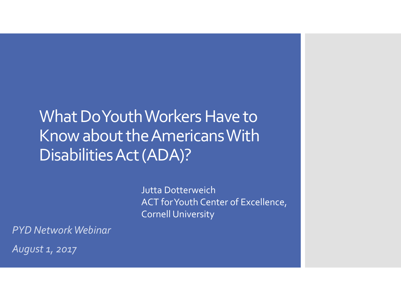What Do Youth Workers Have to Know about the Americans With Disabilities Act (ADA)?

> Jutta Dotterweich ACT for Youth Center of Excellence, Cornell University

*PYD Network Webinar*

*August 1, 2017*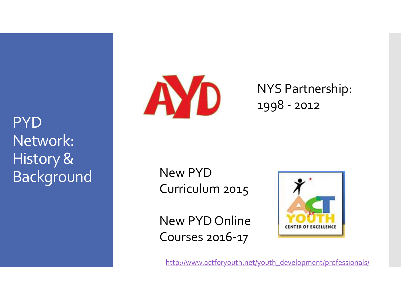**PYD** Network: History & Background



NYS Partnership: 1998 - 2012

New PYD Curriculum 2015

New PYD Online Courses 2016-17



[http://www.actforyouth.net/youth\\_development/professionals/](http://www.actforyouth.net/youth_development/professionals/)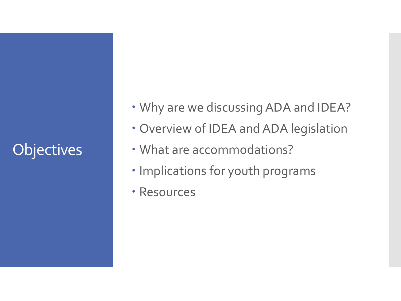# **Objectives**

- Why are we discussing ADA and IDEA?
- Overview of IDEA and ADA legislation
- What are accommodations?
- Implications for youth programs
- Resources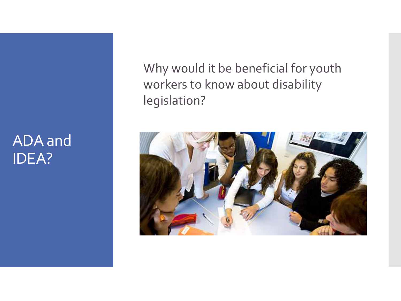### ADA and IDEA?

Why would it be beneficial for youth workers to know about disability legislation?

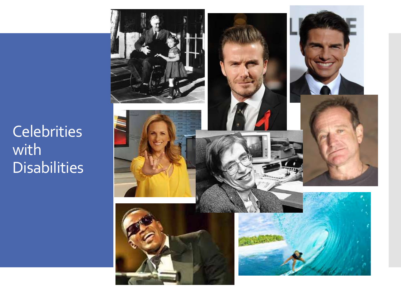**Celebrities** with **Disabilities** 

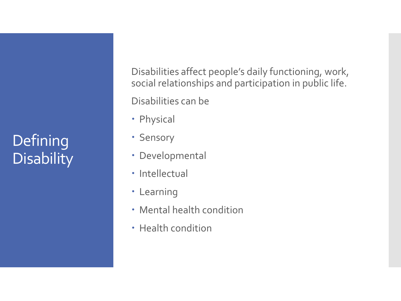# **Defining Disability**

Disabilities affect people's daily functioning, work, social relationships and participation in public life.

Disabilities can be

- Physical
- Sensory
- Developmental
- Intellectual
- Learning
- Mental health condition
- Health condition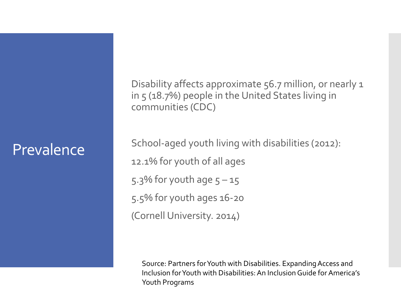### Prevalence

Disability affects approximate 56.7 million, or nearly 1 in 5 (18.7%) people in the United States living in communities (CDC)

School-aged youth living with disabilities (2012): 12.1% for youth of all ages 5.3% for youth age  $5 - 15$ 5.5% for youth ages 16-20 (Cornell University. 2014)

Source: Partners for Youth with Disabilities. Expanding Access and Inclusion for Youth with Disabilities: An Inclusion Guide for America's Youth Programs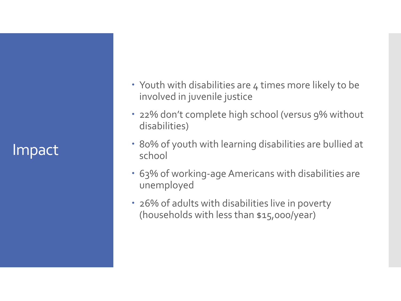Impact

- Youth with disabilities are 4 times more likely to be involved in juvenile justice
- 22% don't complete high school (versus 9% without disabilities)
- 80% of youth with learning disabilities are bullied at school
- 63% of working-age Americans with disabilities are unemployed
- 26% of adults with disabilities live in poverty (households with less than \$15,000/year)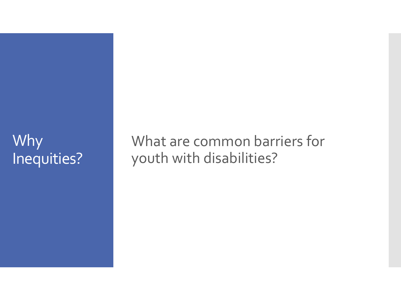### Why Inequities?

What are common barriers for youth with disabilities?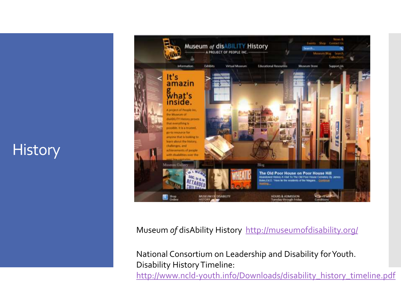### **History**



Museum *of* disAbility History <http://museumofdisability.org/>

National Consortium on Leadership and Disability for Youth. Disability History Timeline: [http://www.ncld-youth.info/Downloads/disability\\_history\\_timeline.pdf](http://www.ncld-youth.info/Downloads/disability_history_timeline.pdf)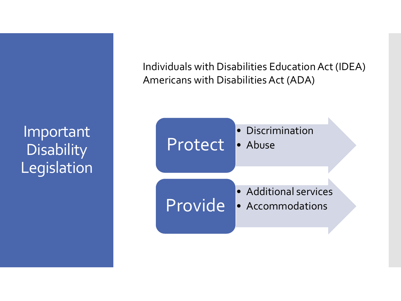Important **Disability Legislation**  Individuals with Disabilities Education Act (IDEA) Americans with Disabilities Act (ADA)

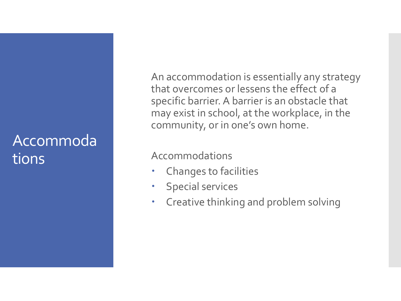### Accommoda tions

An accommodation is essentially any strategy that overcomes or lessens the effect of a specific barrier. A barrier is an obstacle that may exist in school, at the workplace, in the community, or in one's own home.

#### Accommodations

- Changes to facilities
- Special services
- Creative thinking and problem solving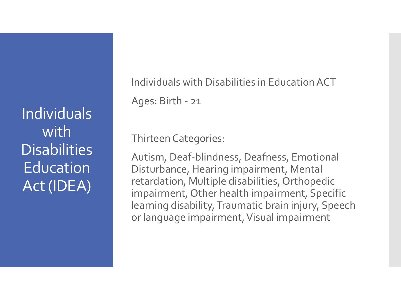Individuals with **Disabilities Education** Act (IDEA)

Individuals with Disabilities in Education ACT Ages: Birth - 21

Thirteen Categories:

Autism, Deaf-blindness, Deafness, Emotional Disturbance, Hearing impairment, Mental retardation, Multiple disabilities, Orthopedic impairment, Other health impairment, Specific learning disability, Traumatic brain injury, Speech or language impairment, Visual impairment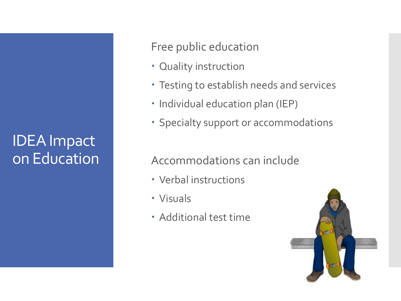### IDEA Impact on Education

Free public education

- Quality instruction
- Testing to establish needs and services
- Individual education plan (IEP)
- Specialty support or accommodations

#### Accommodations can include

- Verbal instructions
- Visuals
- Additional test time

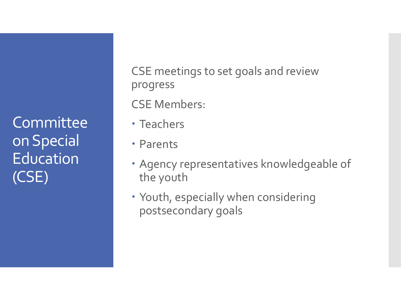**Committee** on Special **Education** (CSE)

CSE meetings to set goals and review progress

CSE Members:

- Teachers
- Parents
- Agency representatives knowledgeable of the youth
- Youth, especially when considering postsecondary goals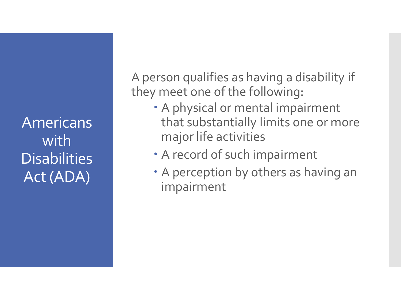Americans with **Disabilities** Act (ADA)

A person qualifies as having a disability if they meet one of the following:

- A physical or mental impairment that substantially limits one or more major life activities
- A record of such impairment
- A perception by others as having an impairment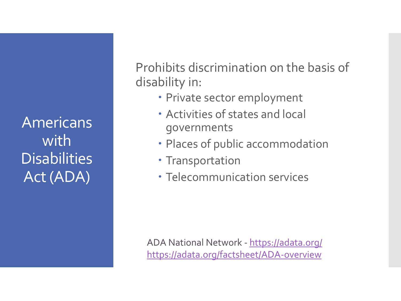Americans with **Disabilities** Act (ADA)

Prohibits discrimination on the basis of disability in:

- Private sector employment
- Activities of states and local governments
- Places of public accommodation
- Transportation
- Telecommunication services

ADA National Network - [https://adata.org/](https://adata.org/factsheet/ADA-overview) <https://adata.org/factsheet/ADA-overview>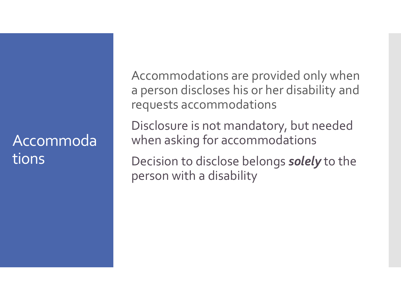### Accommoda tions

Accommodations are provided only when a person discloses his or her disability and requests accommodations

Disclosure is not mandatory, but needed when asking for accommodations

Decision to disclose belongs *solely* to the person with a disability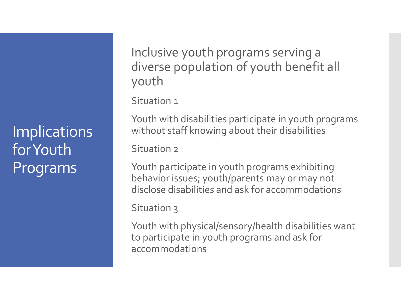**Implications** for Youth Programs

Inclusive youth programs serving a diverse population of youth benefit all youth

Situation 1

Youth with disabilities participate in youth programs without staff knowing about their disabilities

Situation 2

Youth participate in youth programs exhibiting behavior issues; youth/parents may or may not disclose disabilities and ask for accommodations

Situation 3

Youth with physical/sensory/health disabilities want to participate in youth programs and ask for accommodations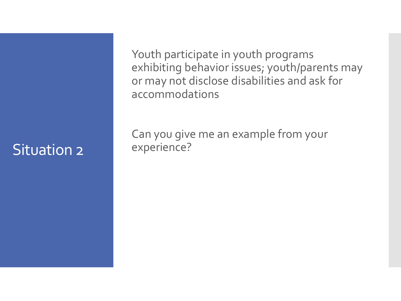### Situation 2

Youth participate in youth programs exhibiting behavior issues; youth/parents may or may not disclose disabilities and ask for accommodations

Can you give me an example from your experience?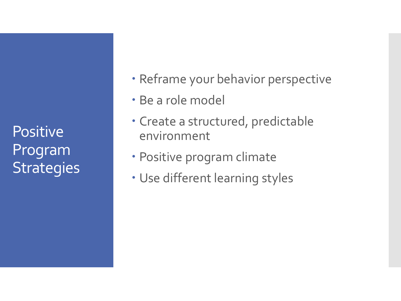**Positive** Program **Strategies** 

- Reframe your behavior perspective
- Be a role model
- Create a structured, predictable environment
- Positive program climate
- Use different learning styles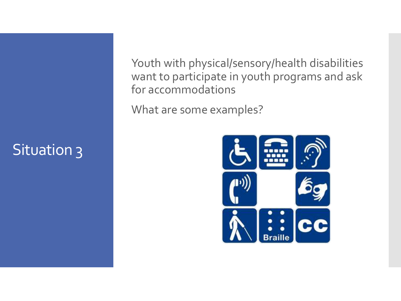# Situation 3

Youth with physical/sensory/health disabilities want to participate in youth programs and ask for accommodations

What are some examples?

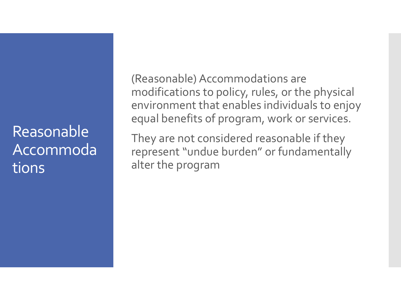Reasonable Accommoda tions

(Reasonable) Accommodations are modifications to policy, rules, or the physical environment that enables individuals to enjoy equal benefits of program, work or services.

They are not considered reasonable if they represent "undue burden" or fundamentally alter the program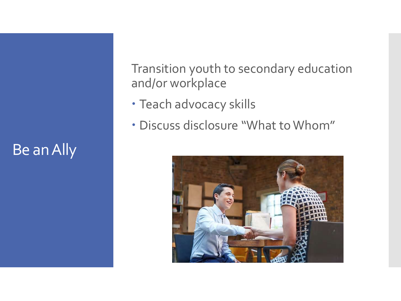# Be an Ally

Transition youth to secondary education and/or workplace

- Teach advocacy skills
- Discuss disclosure "What to Whom"

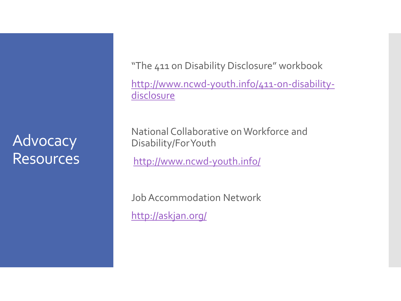### **Advocacy Resources**

"The 411 on Disability Disclosure" workbook

[http://www.ncwd-youth.info/411-on-disability](http://www.ncwd-youth.info/411-on-disability-disclosure)disclosure

National Collaborative on Workforce and Disability/For Youth

<http://www.ncwd-youth.info/>

Job Accommodation Network <http://askjan.org/>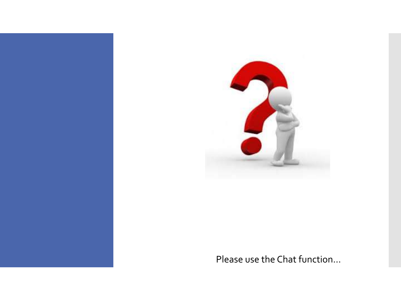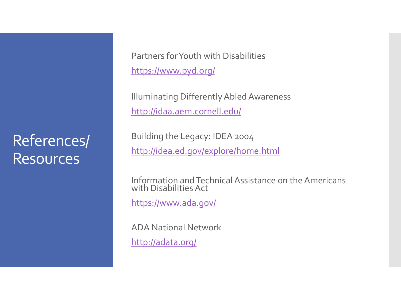### References/ Resources

Partners for Youth with Disabilities <https://www.pyd.org/>

Illuminating Differently Abled Awareness <http://idaa.aem.cornell.edu/>

Building the Legacy: IDEA 2004 <http://idea.ed.gov/explore/home.html>

Information and Technical Assistance on the Americans with Disabilities Act

<https://www.ada.gov/>

ADA National Network

<http://adata.org/>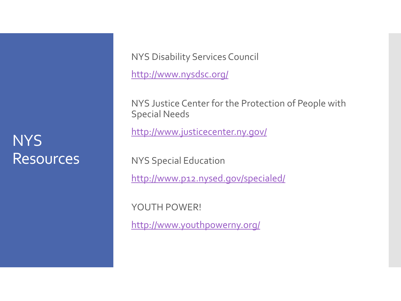### **NYS Resources**

NYS Disability Services Council

<http://www.nysdsc.org/>

NYS Justice Center for the Protection of People with Special Needs

<http://www.justicecenter.ny.gov/>

NYS Special Education

<http://www.p12.nysed.gov/specialed/>

YOUTH POWER!

<http://www.youthpowerny.org/>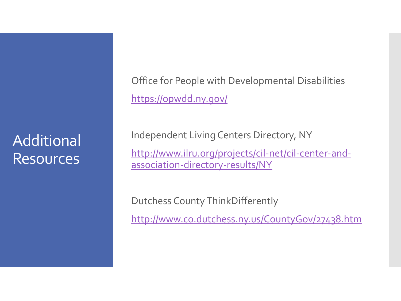**Additional** Resources

Office for People with Developmental Disabilities <https://opwdd.ny.gov/>

Independent Living Centers Directory, NY

[http://www.ilru.org/projects/cil-net/cil-center-and](http://www.ilru.org/projects/cil-net/cil-center-and-association-directory-results/NY)association-directory-results/NY

Dutchess County ThinkDifferently

<http://www.co.dutchess.ny.us/CountyGov/27438.htm>